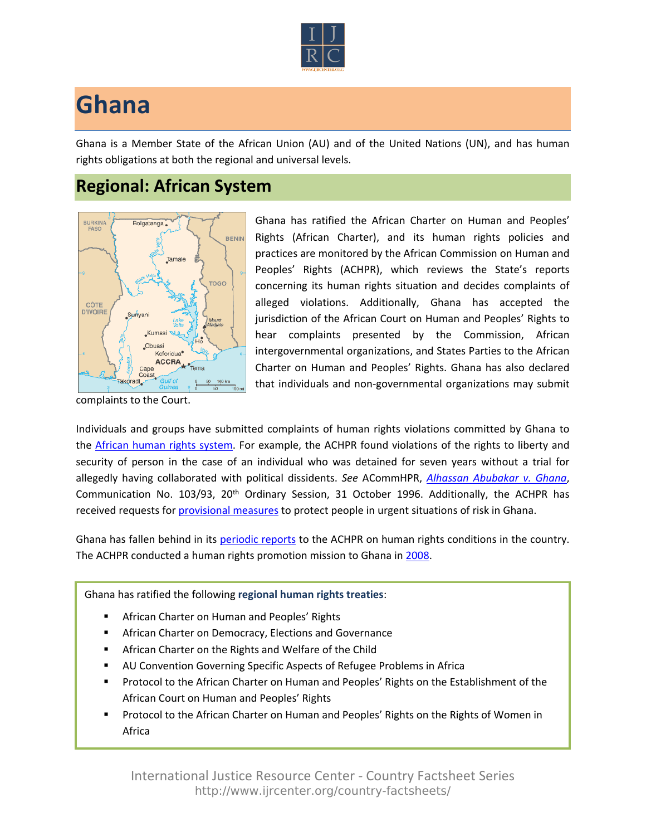

## **Ghana**

Ghana is a Member State of the African Union (AU) and of the United Nations (UN), and has human rights obligations at both the regional and universal levels.

## **Regional: African System**



Ghana has ratified the African Charter on Human and Peoples' Rights (African Charter), and its human rights policies and practices are monitored by the African Commission on Human and Peoples' Rights (ACHPR), which reviews the State's reports concerning its human rights situation and decides complaints of alleged violations. Additionally, Ghana has accepted the jurisdiction of the African Court on Human and Peoples' Rights to hear complaints presented by the Commission, African intergovernmental organizations, and States Parties to the African Charter on Human and Peoples' Rights. Ghana has also declared that individuals and non-governmental organizations may submit

complaints to the Court.

Individuals and groups have submitted complaints of human rights violations committed by Ghana to the [African human rights system.](http://www.ijrcenter.org/regional/african/) For example, the ACHPR found violations of the rights to liberty and security of person in the case of an individual who was detained for seven years without a trial for allegedly having collaborated with political dissidents. *See* ACommHPR, *[Alhassan Abubakar v. Ghana](http://www.achpr.org/files/sessions/20th/comunications/103.93/achpr20_103_93_eng.pdf)*, Communication No. 103/93, 20<sup>th</sup> Ordinary Session, 31 October 1996. Additionally, the ACHPR has received requests for [provisional measures](http://dev.ihrda.org/acmhpr/search/?o=175) to protect people in urgent situations of risk in Ghana.

Ghana has fallen behind in its [periodic reports](http://www.achpr.org/states/ghana/) to the ACHPR on human rights conditions in the country. The ACHPR conducted a human rights promotion mission to Ghana in [2008.](http://www.achpr.org/states/ghana/missions/promo-2008/)

Ghana has ratified the following **regional human rights treaties**:

- African Charter on Human and Peoples' Rights
- African Charter on Democracy, Elections and Governance
- African Charter on the Rights and Welfare of the Child
- AU Convention Governing Specific Aspects of Refugee Problems in Africa
- Protocol to the African Charter on Human and Peoples' Rights on the Establishment of the African Court on Human and Peoples' Rights
- Protocol to the African Charter on Human and Peoples' Rights on the Rights of Women in Africa